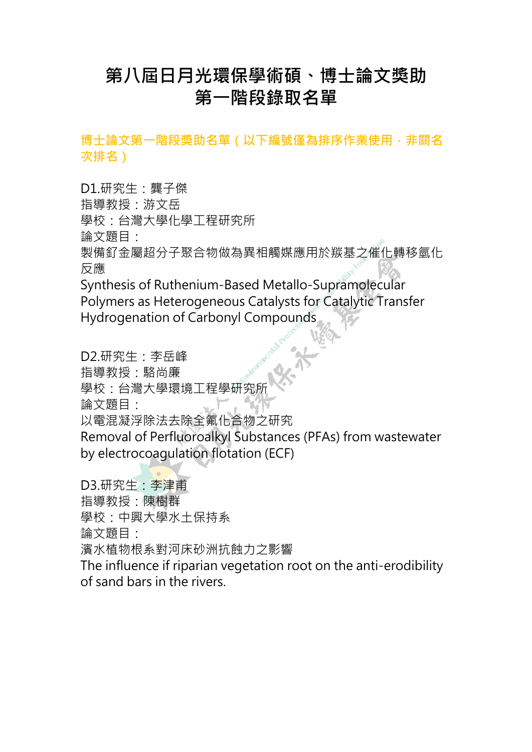## **第八屆日月光環保學術碩、博士論文獎助 第一階段錄取名單**

博士論文第一階段獎助名單 ( 以下編號僅為排序作業使用 <sup> ,</sup> 非關名 **次排名)**

D1.研究生:龔子傑 指導教授:游文岳 學校:台灣大學化學工程研究所 論文題目: 製備釕金屬超分子聚合物做為異相觸媒應用於羰基之催化轉移氫化 反應 Synthesis of Ruthenium-Based Metallo-Supramolecular Polymers as Heterogeneous Catalysts for Catalytic Transfer Hydrogenation of Carbonyl Compounds

D2.研究生:李岳峰 指導教授:駱尚廉 學校:台灣大學環境工程學研究所 論文題目: 以電混凝浮除法去除全氟化合物之研究 Removal of Perfluoroalkyl Substances (PFAs) from wastewater by electrocoagulation flotation (ECF) D3.研究生:李津甫

指導教授:陳樹群 學校:中興大學水土保持系 論文題目: 濱水植物根系對河床砂洲抗蝕力之影響 The influence if riparian vegetation root on the anti-erodibility of sand bars in the rivers.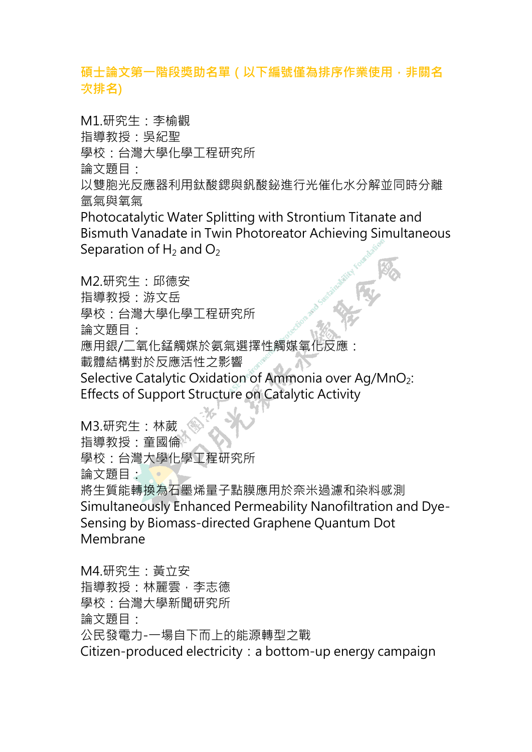## **碩士論文第一階段獎助名單(以下編號僅為排序作業使用,非關名 次排名)**

M1.研究生:李榆觀 指導教授:吳紀聖 學校:台灣大學化學工程研究所 論文題目・

以雙胞光反應器利用鈦酸鍶與釩酸鉍進行光催化水分解並同時分離 氫氣與氧氣

Photocatalytic Water Splitting with Strontium Titanate and Bismuth Vanadate in Twin Photoreator Achieving Simultaneous Separation of  $H_2$  and  $O_2$ 

M2.研究生:邱德安 指導教授:游文岳 學校:台灣大學化學工程研究所 論文題目: 應用銀/二氧化錳觸媒於氨氣選擇性觸媒氧化反應: 載體結構對於反應活性之影響 Selective Catalytic Oxidation of Ammonia over Ag/MnO<sub>2</sub>: Effects of Support Structure on Catalytic Activity

M3.研究生:林葳 指導教授:童國倫 學校:台灣大學化學工程研究所 論文題目: 將生質能轉換為石墨烯量子點膜應用於奈米過濾和染料感測 Simultaneously Enhanced Permeability Nanofiltration and Dye-Sensing by Biomass-directed Graphene Quantum Dot Membrane

M4.研究生:黃立安 指導教授:林麗雲,李志德 學校:台灣大學新聞研究所 論文題目: 公民發電力-一場自下而上的能源轉型之戰 Citizen-produced electricity: a bottom-up energy campaign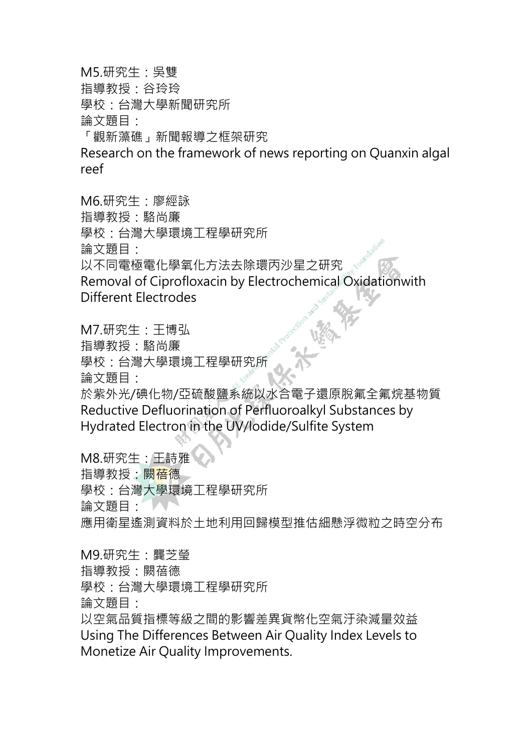M5.研究生:吳雙

指導教授:谷玲玲

學校:台灣大學新聞研究所

論文題目:

「觀新藻礁」新聞報導之框架研究

Research on the framework of news reporting on Quanxin algal reef

M6.研究生:廖經詠

指導教授:駱尚廉

學校:台灣大學環境工程學研究所

論文題目:

以不同電極電化學氧化方法去除環丙沙星之研究

Removal of Ciprofloxacin by Electrochemical Oxidationwith Different Electrodes

M7.研究生:王博弘

指導教授:駱尚廉

學校:台灣大學環境工程學研究所

論文題目:

於紫外光/碘化物/亞硫酸鹽系統以水合電子還原脫氟全氟烷基物質 Reductive Defluorination of Perfluoroalkyl Substances by Hydrated Electron in the UV/lodide/Sulfite System

M8.研究生:王詩雅 指導教授:闕<mark>蓓</mark>德 學校:台灣大學環境工程學研究所 論文題目: 應用衛星遙測資料於土地利用回歸模型推估細懸浮微粒之時空分布

M9.研究生:龔芝瑩

指導教授:闕蓓德

學校:台灣大學環境工程學研究所

論文題目:

以空氣品質指標等級之間的影響差異貨幣化空氣汙染減量效益 Using The Differences Between Air Quality Index Levels to Monetize Air Quality Improvements.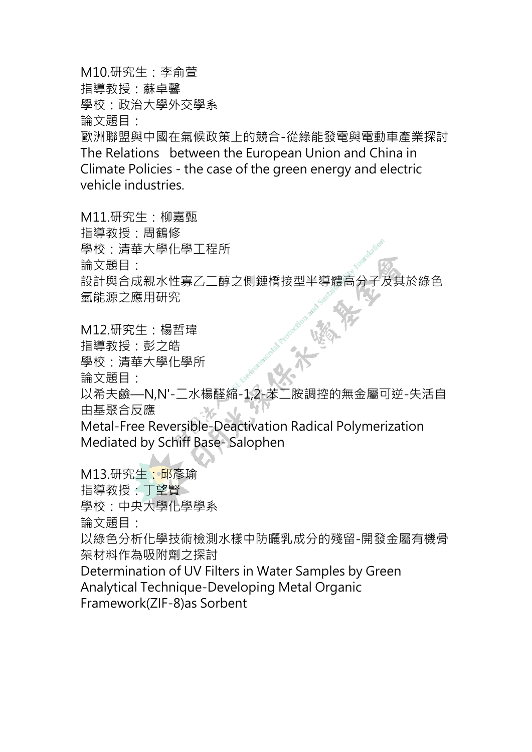M10.研究生:李俞萱 指導教授:蘇卓馨 學校:政治大學外交學系 論文題目: 歐洲聯盟與中國在氣候政策上的競合-從綠能發電與電動車產業探討 The Relations between the European Union and China in Climate Policies - the case of the green energy and electric vehicle industries.

M11.研究生:柳嘉甄 指導教授:周鶴修 學校:清華大學化學工程所 論文題目: 設計與合成親水性寡乙二醇之側鏈橋接型半導體高分子及其於綠色 氫能源之應用研究

M12.研究生:楊哲瑋 指導教授:彭之皓 學校:清華大學化學所 論文題目: 以希夫鹼—N,N'-二水楊醛縮-1,2-苯二胺調控的無金屬可逆-失活自 由基聚合反應 ችራ Metal-Free Reversible-Deactivation Radical Polymerization Mediated by Schiff Base- Salophen

M13.研究生:邱彥瑜

指導教授:丁望賢

學校:中央大學化學學系

論文題目:

以綠色分析化學技術檢測水樣中防曬乳成分的殘留-開發金屬有機骨 架材料作為吸附劑之探討

Determination of UV Filters in Water Samples by Green Analytical Technique-Developing Metal Organic Framework(ZIF-8)as Sorbent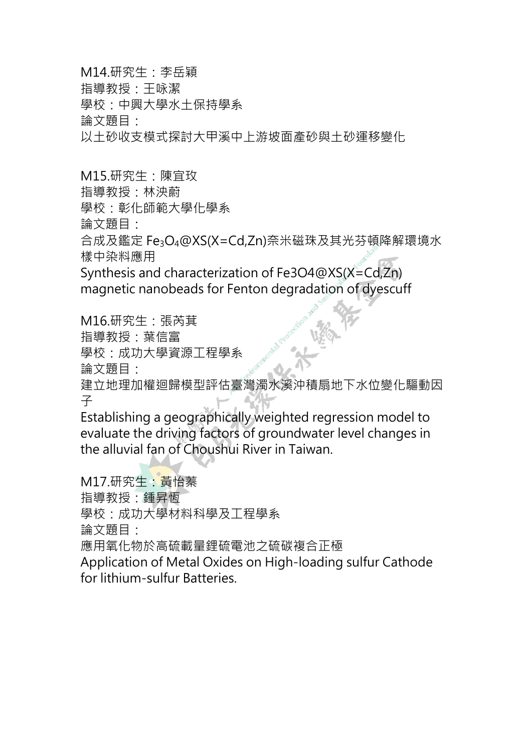M14.研究生:李岳穎

指導教授:王咏潔

學校:中興大學水土保持學系

論文題目:

以土砂收支模式探討大甲溪中上游坡面產砂與土砂運移變化

M15.研究生:陳宜玫

指導教授:林泱蔚

學校:彰化師範大學化學系

論文題目:

合成及鑑定 Fe3O4@XS(X=Cd,Zn)奈米磁珠及其光芬頓降解環境水 樣中染料應用

Synthesis and characterization of Fe3O4@XS(X=Cd,Zn) magnetic nanobeads for Fenton degradation of dyescuff

M16.研究生:張芮萁 指導教授:葉信富 學校:成功大學資源工程學系 論文題目: 建立地理加權迴歸模型評估臺灣濁水溪沖積扇地下水位變化驅動因 子

Establishing a geographically weighted regression model to evaluate the driving factors of groundwater level changes in the alluvial fan of Choushui River in Taiwan.

M17.研究生:黃怡蓁 指導教授:鍾昇恆 學校:成功大學材料科學及工程學系 論文題目: 應用氧化物於高硫載量鋰硫電池之硫碳複合正極 Application of Metal Oxides on High-loading sulfur Cathode for lithium-sulfur Batteries.